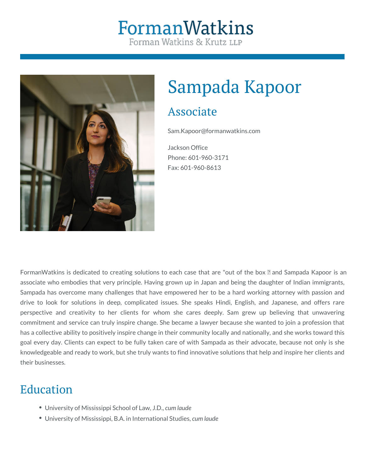# FormanWatkins Forman Watkins & Krutz LLP



# Sampada Kapoor

## Associate

Sam.Kapoor@formanwatkins.com

Jackson Office Phone: 601-960-3171 Fax: 601-960-8613

FormanWatkins is dedicated to creating solutions to each case that are "out of the box 171 and Sampada Kapoor is an associate who embodies that very principle. Having grown up in Japan and being the daughter of Indian immigrants, Sampada has overcome many challenges that have empowered her to be a hard working attorney with passion and drive to look for solutions in deep, complicated issues. She speaks Hindi, English, and Japanese, and offers rare perspective and creativity to her clients for whom she cares deeply. Sam grew up believing that unwavering commitment and service can truly inspire change. She became a lawyer because she wanted to join a profession that has a collective ability to positively inspire change in their community locally and nationally, and she works toward this goal every day. Clients can expect to be fully taken care of with Sampada as their advocate, because not only is she knowledgeable and ready to work, but she truly wants to find innovative solutions that help and inspire her clients and their businesses.

# Education

- University of Mississippi School of Law, J.D., *cum laude*
- University of Mississippi, B.A. in International Studies, *cum laude*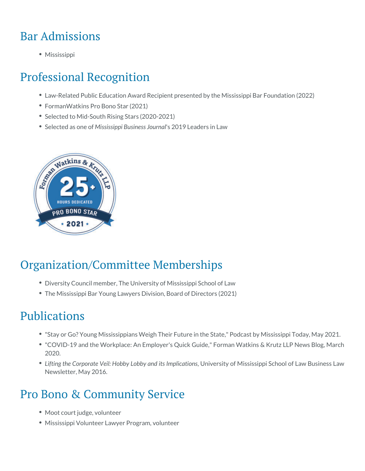# Bar Admissions

Mississippi

### Professional Recognition

- Law-Related Public Education Award Recipient presented by the Mississ
- FormanWatkins Pro Bono Star (2021)
- Selected to Mid-South Rising Stars (2020-2021)
- Selected as Moisse isosfippi Busines 2.9 1.90 Lumeraaders in Law

## Organization/Committee Memberships

- Diversity Council member, The University of Mississippi School of Law
- The Mississippi Bar Young Lawyers Division, Board of Directors (2021)

### Publications

- $\bullet$  ["Stay or Go? Young Mississippians Weig](https://mississippitoday.org/2021/05/17/podcast-stay-or-go-young-mississippians-weigh-their-future-in-the-state/)h"TPhoedicaFsuttubnye Ministshi**e**s SptateToday
- ["COVID-19 and the Workplace: An Em](http://www.formanwatkins.com/blog/employment-law-update-covid-19-and-the-workplace-an-employers-quick-guide/)plboperm'ssnQWiactkkiGssi&leKrutz LLP New 2020.
- Lifting the Corporate Veil: Hobby Loubhiy ears dity to flM ipsisotation posison of Newsletter, May 2016.

## Pro Bono & Community Service

- Moot court judge, volunteer
- Mississippi Volunteer Lawyer Program, volunteer